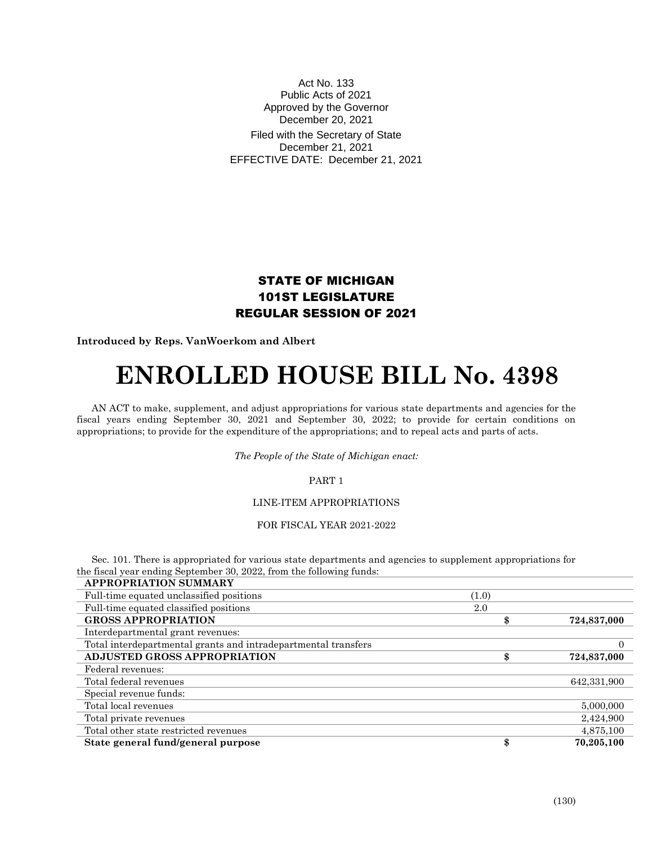# Act No. 133 Public Acts of 2021 Approved by the Governor December 20, 2021

Filed with the Secretary of State December 21, 2021 EFFECTIVE DATE: December 21, 2021

# STATE OF MICHIGAN 101ST LEGISLATURE REGULAR SESSION OF 2021

**Introduced by Reps. VanWoerkom and Albert**

# **ENROLLED HOUSE BILL No. 4398**

AN ACT to make, supplement, and adjust appropriations for various state departments and agencies for the fiscal years ending September 30, 2021 and September 30, 2022; to provide for certain conditions on appropriations; to provide for the expenditure of the appropriations; and to repeal acts and parts of acts.

*The People of the State of Michigan enact:*

PART 1

# LINE-ITEM APPROPRIATIONS

FOR FISCAL YEAR 2021-2022

Sec. 101. There is appropriated for various state departments and agencies to supplement appropriations for the fiscal year ending September 30, 2022, from the following funds:

| <b>APPROPRIATION SUMMARY</b>                                   |       |             |
|----------------------------------------------------------------|-------|-------------|
| Full-time equated unclassified positions                       | (1.0) |             |
| Full-time equated classified positions                         | 2.0   |             |
| <b>GROSS APPROPRIATION</b>                                     | \$    | 724,837,000 |
| Interdepartmental grant revenues:                              |       |             |
| Total interdepartmental grants and intradepartmental transfers |       |             |
| ADJUSTED GROSS APPROPRIATION                                   | \$    | 724,837,000 |
| Federal revenues:                                              |       |             |
| Total federal revenues                                         |       | 642,331,900 |
| Special revenue funds:                                         |       |             |
| Total local revenues                                           |       | 5,000,000   |
| Total private revenues                                         |       | 2,424,900   |
| Total other state restricted revenues                          |       | 4,875,100   |
| State general fund/general purpose                             | \$    | 70.205.100  |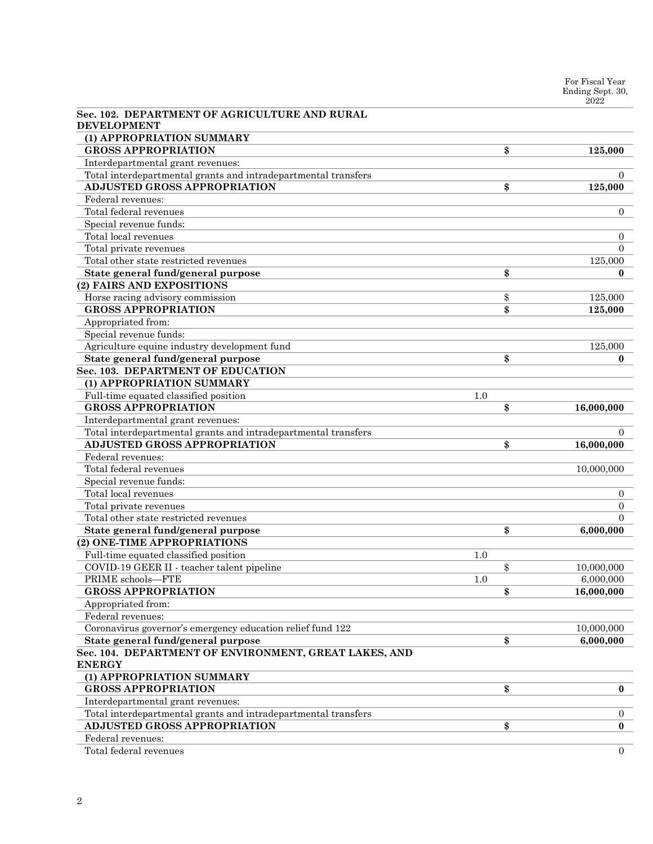| Sec. 102. DEPARTMENT OF AGRICULTURE AND RURAL                  |     |                  |
|----------------------------------------------------------------|-----|------------------|
| <b>DEVELOPMENT</b>                                             |     |                  |
| (1) APPROPRIATION SUMMARY                                      |     |                  |
| <b>GROSS APPROPRIATION</b>                                     |     | \$<br>125,000    |
| Interdepartmental grant revenues:                              |     |                  |
| Total interdepartmental grants and intradepartmental transfers |     | $\Omega$         |
| <b>ADJUSTED GROSS APPROPRIATION</b>                            |     | \$<br>125,000    |
| Federal revenues:                                              |     |                  |
| Total federal revenues                                         |     | $\overline{0}$   |
| Special revenue funds:                                         |     |                  |
| Total local revenues                                           |     | $\overline{0}$   |
| Total private revenues                                         |     | $\Omega$         |
| Total other state restricted revenues                          |     | 125,000          |
| State general fund/general purpose                             |     | \$<br>$\bf{0}$   |
| (2) FAIRS AND EXPOSITIONS                                      |     |                  |
| Horse racing advisory commission                               |     | \$<br>125,000    |
| <b>GROSS APPROPRIATION</b>                                     |     | \$<br>125,000    |
| Appropriated from:                                             |     |                  |
| Special revenue funds:                                         |     |                  |
| Agriculture equine industry development fund                   |     | 125,000          |
| State general fund/general purpose                             |     | \$<br>$\bf{0}$   |
| Sec. 103. DEPARTMENT OF EDUCATION                              |     |                  |
| (1) APPROPRIATION SUMMARY                                      |     |                  |
| Full-time equated classified position                          | 1.0 |                  |
| <b>GROSS APPROPRIATION</b>                                     |     | \$<br>16,000,000 |
| Interdepartmental grant revenues:                              |     |                  |
| Total interdepartmental grants and intradepartmental transfers |     | $\Omega$         |
| <b>ADJUSTED GROSS APPROPRIATION</b>                            |     | \$<br>16,000,000 |
| Federal revenues:                                              |     |                  |
| Total federal revenues                                         |     | 10,000,000       |
| Special revenue funds:                                         |     |                  |
| Total local revenues                                           |     | $\overline{0}$   |
| Total private revenues                                         |     | $\overline{0}$   |
| Total other state restricted revenues                          |     | $\Omega$         |
| State general fund/general purpose                             |     | \$<br>6,000,000  |
| (2) ONE-TIME APPROPRIATIONS                                    |     |                  |
| Full-time equated classified position                          | 1.0 |                  |
| COVID-19 GEER II - teacher talent pipeline                     |     | \$<br>10,000,000 |
| PRIME schools-FTE                                              | 1.0 | 6,000,000        |
| <b>GROSS APPROPRIATION</b>                                     |     | \$<br>16,000,000 |
| Appropriated from:                                             |     |                  |
| Federal revenues:                                              |     |                  |
| Coronavirus governor's emergency education relief fund 122     |     | 10,000,000       |
| State general fund/general purpose                             |     | \$<br>6,000,000  |
| Sec. 104. DEPARTMENT OF ENVIRONMENT, GREAT LAKES, AND          |     |                  |
| <b>ENERGY</b>                                                  |     |                  |
| (1) APPROPRIATION SUMMARY                                      |     |                  |
| <b>GROSS APPROPRIATION</b>                                     |     | \$<br>$\bf{0}$   |
| Interdepartmental grant revenues:                              |     |                  |
| Total interdepartmental grants and intradepartmental transfers |     | $\overline{0}$   |
| ADJUSTED GROSS APPROPRIATION                                   |     | \$<br>$\bf{0}$   |
| Federal revenues:                                              |     |                  |
| Total federal revenues                                         |     | $\overline{0}$   |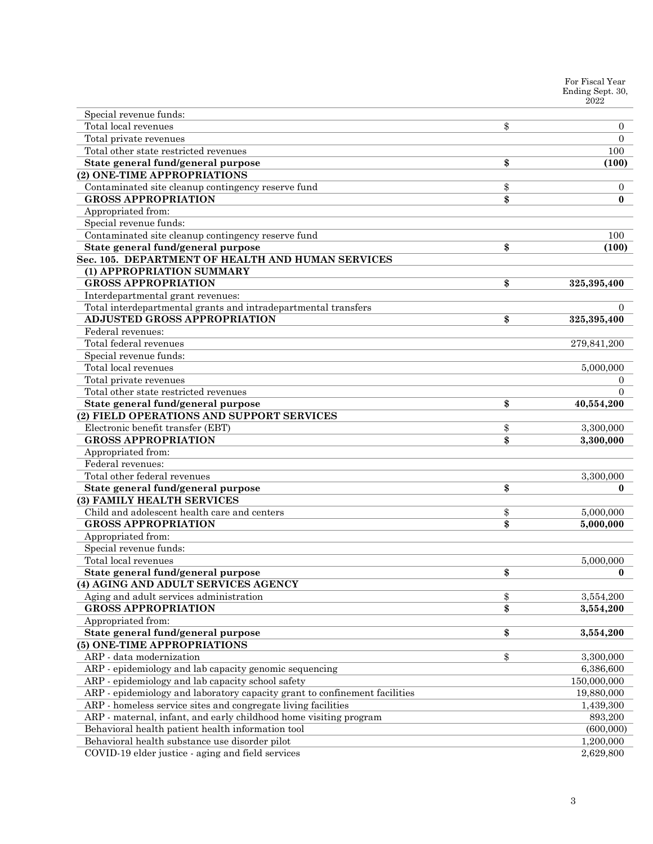|                                                                            | For Fiscal Year<br>Ending Sept. 30,<br>2022 |
|----------------------------------------------------------------------------|---------------------------------------------|
| Special revenue funds:                                                     |                                             |
| Total local revenues                                                       | \$<br>$\overline{0}$                        |
| Total private revenues                                                     | $\Omega$                                    |
| Total other state restricted revenues                                      | 100                                         |
| State general fund/general purpose                                         | \$<br>(100)                                 |
| (2) ONE-TIME APPROPRIATIONS                                                |                                             |
| Contaminated site cleanup contingency reserve fund                         | \$<br>$\mathbf{0}$                          |
| <b>GROSS APPROPRIATION</b>                                                 | \$<br>$\bf{0}$                              |
| Appropriated from:                                                         |                                             |
| Special revenue funds:                                                     |                                             |
| Contaminated site cleanup contingency reserve fund                         | 100                                         |
| State general fund/general purpose                                         | \$<br>(100)                                 |
| Sec. 105. DEPARTMENT OF HEALTH AND HUMAN SERVICES                          |                                             |
| (1) APPROPRIATION SUMMARY                                                  |                                             |
| <b>GROSS APPROPRIATION</b>                                                 | \$<br>325,395,400                           |
| Interdepartmental grant revenues:                                          |                                             |
| Total interdepartmental grants and intradepartmental transfers             | $\Omega$                                    |
| <b>ADJUSTED GROSS APPROPRIATION</b>                                        | \$<br>325,395,400                           |
| Federal revenues:                                                          |                                             |
| Total federal revenues                                                     | 279,841,200                                 |
| Special revenue funds:                                                     |                                             |
| Total local revenues                                                       | 5,000,000                                   |
| Total private revenues                                                     | 0                                           |
| Total other state restricted revenues                                      | $\Omega$                                    |
| State general fund/general purpose                                         | \$<br>40,554,200                            |
| (2) FIELD OPERATIONS AND SUPPORT SERVICES                                  |                                             |
| Electronic benefit transfer (EBT)                                          | \$<br>3,300,000                             |
| <b>GROSS APPROPRIATION</b>                                                 | \$<br>3,300,000                             |
| Appropriated from:                                                         |                                             |
| Federal revenues:                                                          |                                             |
| Total other federal revenues                                               | 3,300,000                                   |
| State general fund/general purpose                                         | \$<br>$\bf{0}$                              |
| (3) FAMILY HEALTH SERVICES                                                 |                                             |
| Child and adolescent health care and centers                               | \$<br>5,000,000                             |
| <b>GROSS APPROPRIATION</b>                                                 | \$<br>5,000,000                             |
| Appropriated from:                                                         |                                             |
| Special revenue funds:                                                     |                                             |
| Total local revenues                                                       | 5,000,000                                   |
| State general fund/general purpose                                         | \$<br>$\bf{0}$                              |
| (4) AGING AND ADULT SERVICES AGENCY                                        |                                             |
| Aging and adult services administration                                    | \$<br>3,554,200                             |
| <b>GROSS APPROPRIATION</b>                                                 | \$<br>3,554,200                             |
| Appropriated from:                                                         |                                             |
| State general fund/general purpose                                         | \$<br>3,554,200                             |
| (5) ONE-TIME APPROPRIATIONS                                                |                                             |
| ARP - data modernization                                                   | \$<br>3,300,000                             |
| ARP - epidemiology and lab capacity genomic sequencing                     | 6,386,600                                   |
| ARP - epidemiology and lab capacity school safety                          | 150,000,000                                 |
| ARP - epidemiology and laboratory capacity grant to confinement facilities | 19,880,000                                  |
| ARP - homeless service sites and congregate living facilities              | 1,439,300                                   |
| ARP - maternal, infant, and early childhood home visiting program          | 893,200                                     |
| Behavioral health patient health information tool                          | (600,000)                                   |
| Behavioral health substance use disorder pilot                             | 1,200,000                                   |
| COVID-19 elder justice - aging and field services                          | 2,629,800                                   |
|                                                                            |                                             |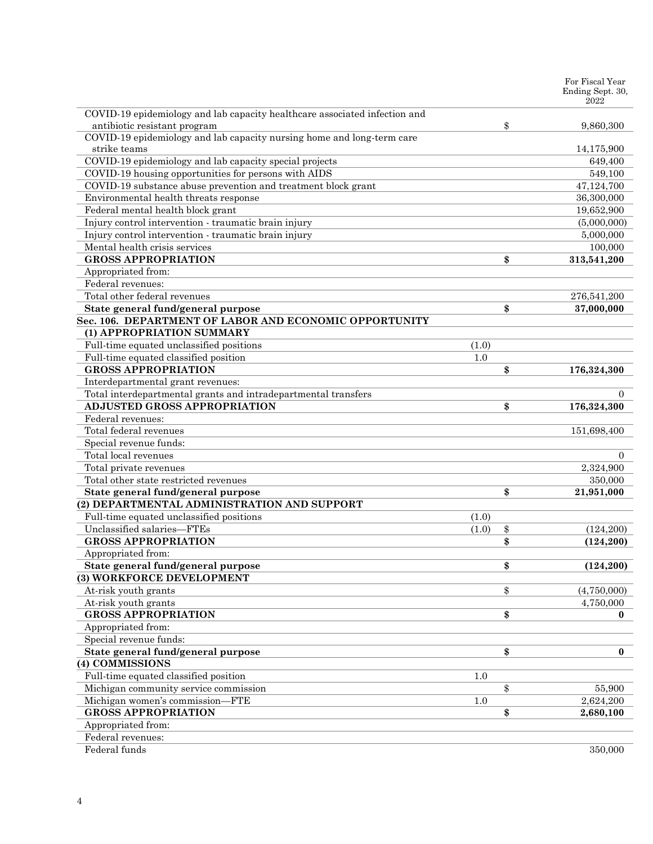|                                                                            |         | For Fiscal Year<br>Ending Sept. 30,<br>2022 |
|----------------------------------------------------------------------------|---------|---------------------------------------------|
| COVID-19 epidemiology and lab capacity healthcare associated infection and |         |                                             |
| antibiotic resistant program                                               |         | \$<br>9,860,300                             |
| COVID-19 epidemiology and lab capacity nursing home and long-term care     |         |                                             |
| strike teams                                                               |         | 14,175,900                                  |
| COVID-19 epidemiology and lab capacity special projects                    |         | 649,400                                     |
| COVID-19 housing opportunities for persons with AIDS                       |         | 549,100                                     |
| COVID-19 substance abuse prevention and treatment block grant              |         | 47,124,700                                  |
| Environmental health threats response                                      |         | 36,300,000                                  |
| Federal mental health block grant                                          |         | 19,652,900                                  |
| Injury control intervention - traumatic brain injury                       |         | (5,000,000)                                 |
| Injury control intervention - traumatic brain injury                       |         | 5,000,000                                   |
| Mental health crisis services                                              |         | 100,000                                     |
| <b>GROSS APPROPRIATION</b>                                                 |         | \$<br>313,541,200                           |
| Appropriated from:                                                         |         |                                             |
| Federal revenues:                                                          |         |                                             |
| Total other federal revenues                                               |         | 276,541,200                                 |
| State general fund/general purpose                                         |         | \$<br>37,000,000                            |
| Sec. 106. DEPARTMENT OF LABOR AND ECONOMIC OPPORTUNITY                     |         |                                             |
| (1) APPROPRIATION SUMMARY                                                  |         |                                             |
| Full-time equated unclassified positions                                   | (1.0)   |                                             |
| Full-time equated classified position                                      | 1.0     |                                             |
| <b>GROSS APPROPRIATION</b>                                                 |         | \$<br>176,324,300                           |
| Interdepartmental grant revenues:                                          |         |                                             |
| Total interdepartmental grants and intradepartmental transfers             |         | $\Omega$                                    |
| <b>ADJUSTED GROSS APPROPRIATION</b>                                        |         | \$<br>176,324,300                           |
| Federal revenues:                                                          |         |                                             |
| Total federal revenues                                                     |         | 151,698,400                                 |
| Special revenue funds:                                                     |         |                                             |
| Total local revenues                                                       |         | 0                                           |
| Total private revenues                                                     |         | 2,324,900                                   |
| Total other state restricted revenues                                      |         | 350,000                                     |
| State general fund/general purpose                                         |         | \$<br>21,951,000                            |
| (2) DEPARTMENTAL ADMINISTRATION AND SUPPORT                                |         |                                             |
| Full-time equated unclassified positions                                   | (1.0)   |                                             |
| Unclassified salaries-FTEs                                                 | (1.0)   | \$<br>(124, 200)                            |
| <b>GROSS APPROPRIATION</b>                                                 |         | \$<br>(124, 200)                            |
| Appropriated from:                                                         |         |                                             |
| State general fund/general purpose                                         |         | \$<br>(124, 200)                            |
| (3) WORKFORCE DEVELOPMENT                                                  |         |                                             |
| At-risk youth grants                                                       |         | \$<br>(4,750,000)                           |
| At-risk youth grants                                                       |         | 4,750,000                                   |
| <b>GROSS APPROPRIATION</b>                                                 |         | \$<br>$\bf{0}$                              |
| Appropriated from:                                                         |         |                                             |
| Special revenue funds:                                                     |         |                                             |
| State general fund/general purpose                                         |         | \$<br>$\bf{0}$                              |
| (4) COMMISSIONS                                                            |         |                                             |
| Full-time equated classified position                                      | 1.0     |                                             |
| Michigan community service commission                                      |         | \$<br>55,900                                |
| Michigan women's commission-FTE                                            | $1.0\,$ | 2,624,200                                   |
| <b>GROSS APPROPRIATION</b>                                                 |         | \$<br>2,680,100                             |
| Appropriated from:                                                         |         |                                             |
| Federal revenues:                                                          |         |                                             |
| Federal funds                                                              |         | 350,000                                     |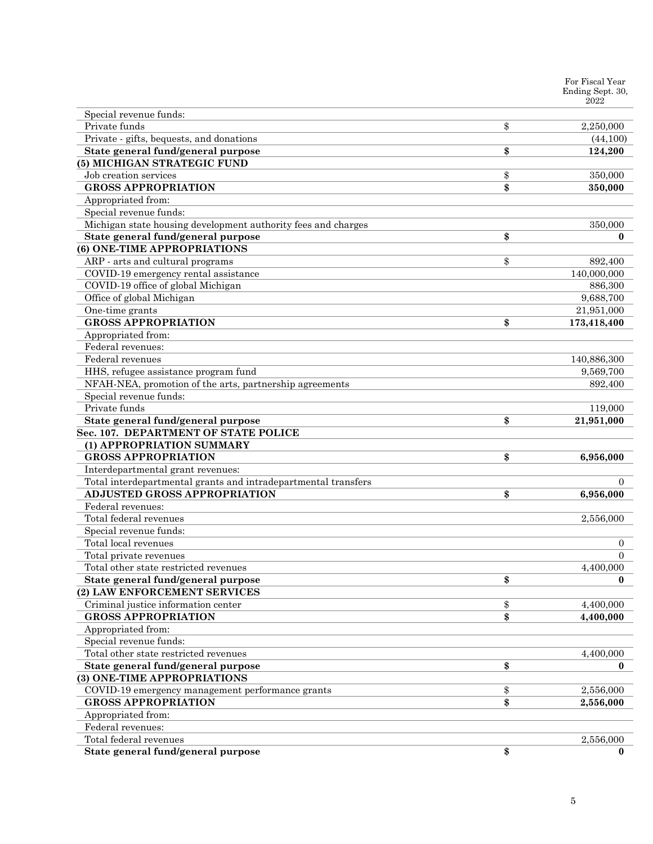|                                                                   | For Fiscal Year<br>Ending Sept. 30,<br>2022 |
|-------------------------------------------------------------------|---------------------------------------------|
| Special revenue funds:                                            |                                             |
| Private funds                                                     | \$<br>2,250,000                             |
| Private - gifts, bequests, and donations                          | (44,100)                                    |
| State general fund/general purpose                                | \$<br>124,200                               |
| (5) MICHIGAN STRATEGIC FUND                                       |                                             |
| Job creation services                                             | \$<br>350,000                               |
| <b>GROSS APPROPRIATION</b>                                        | \$<br>350,000                               |
| Appropriated from:                                                |                                             |
| Special revenue funds:                                            |                                             |
| Michigan state housing development authority fees and charges     | 350,000                                     |
| State general fund/general purpose                                | \$<br>$\bf{0}$                              |
| (6) ONE-TIME APPROPRIATIONS                                       |                                             |
| ARP - arts and cultural programs                                  | \$<br>892,400                               |
| COVID-19 emergency rental assistance                              | 140,000,000                                 |
| COVID-19 office of global Michigan                                | 886,300                                     |
| Office of global Michigan                                         | 9,688,700                                   |
| One-time grants                                                   | 21,951,000                                  |
| <b>GROSS APPROPRIATION</b>                                        | \$<br>173,418,400                           |
| Appropriated from:                                                |                                             |
| Federal revenues:                                                 |                                             |
| Federal revenues                                                  | 140,886,300                                 |
| HHS, refugee assistance program fund                              | 9,569,700                                   |
| NFAH-NEA, promotion of the arts, partnership agreements           | 892,400                                     |
| Special revenue funds:                                            |                                             |
| Private funds                                                     | 119,000                                     |
| State general fund/general purpose                                | \$<br>21,951,000                            |
| Sec. 107. DEPARTMENT OF STATE POLICE                              |                                             |
| (1) APPROPRIATION SUMMARY                                         |                                             |
| <b>GROSS APPROPRIATION</b>                                        | \$<br>6,956,000                             |
| Interdepartmental grant revenues:                                 |                                             |
| Total interdepartmental grants and intradepartmental transfers    | $\Omega$                                    |
| <b>ADJUSTED GROSS APPROPRIATION</b>                               | \$<br>6,956,000                             |
| Federal revenues:                                                 |                                             |
| Total federal revenues                                            | 2,556,000                                   |
| Special revenue funds:                                            |                                             |
| Total local revenues                                              | $\overline{0}$                              |
| Total private revenues                                            | $\mathbf{0}$                                |
| Total other state restricted revenues                             | 4,400,000                                   |
| State general fund/general purpose                                | \$<br>$\bf{0}$                              |
| (2) LAW ENFORCEMENT SERVICES                                      |                                             |
| Criminal justice information center                               | \$<br>4,400,000                             |
| <b>GROSS APPROPRIATION</b>                                        | \$<br>4,400,000                             |
| Appropriated from:                                                |                                             |
| Special revenue funds:                                            |                                             |
| Total other state restricted revenues                             | 4,400,000                                   |
| State general fund/general purpose<br>(3) ONE-TIME APPROPRIATIONS | \$<br>$\bf{0}$                              |
| COVID-19 emergency management performance grants                  | \$<br>2,556,000                             |
| <b>GROSS APPROPRIATION</b>                                        | \$<br>2,556,000                             |
| Appropriated from:                                                |                                             |
| Federal revenues:                                                 |                                             |
| Total federal revenues                                            | 2,556,000                                   |
| State general fund/general purpose                                | \$<br>$\bf{0}$                              |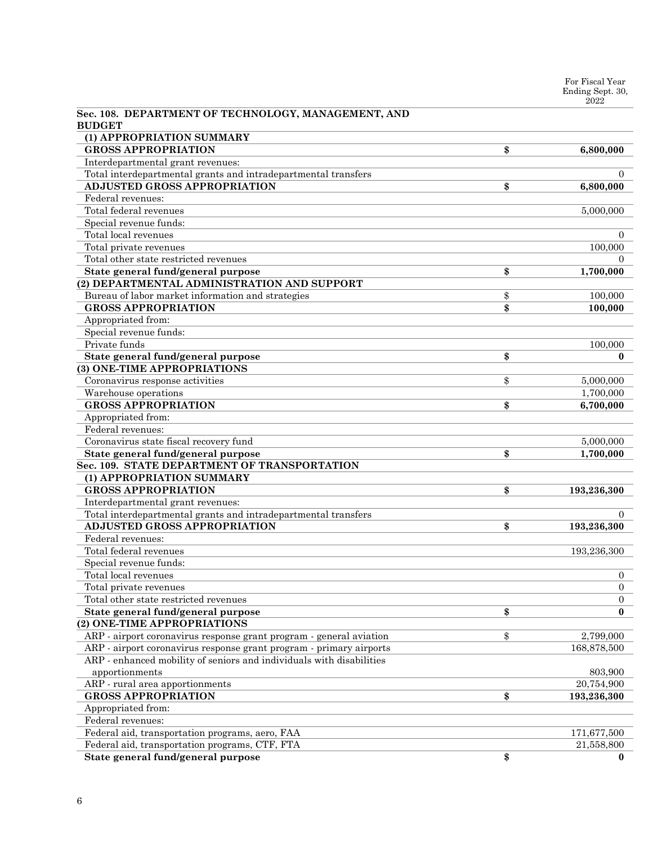For Fiscal Year Ending Sept. 30, 2022

| Sec. 108. DEPARTMENT OF TECHNOLOGY, MANAGEMENT, AND<br><b>BUDGET</b>                                  |                   |
|-------------------------------------------------------------------------------------------------------|-------------------|
| (1) APPROPRIATION SUMMARY                                                                             |                   |
| <b>GROSS APPROPRIATION</b>                                                                            | \$<br>6,800,000   |
| Interdepartmental grant revenues:                                                                     |                   |
|                                                                                                       | $\Omega$          |
| Total interdepartmental grants and intradepartmental transfers<br><b>ADJUSTED GROSS APPROPRIATION</b> |                   |
|                                                                                                       | \$<br>6,800,000   |
| Federal revenues:                                                                                     |                   |
| Total federal revenues                                                                                | 5,000,000         |
| Special revenue funds:                                                                                |                   |
| Total local revenues                                                                                  | $\Omega$          |
| Total private revenues                                                                                | 100,000           |
| Total other state restricted revenues                                                                 | $\Omega$          |
| State general fund/general purpose                                                                    | \$<br>1,700,000   |
| (2) DEPARTMENTAL ADMINISTRATION AND SUPPORT                                                           |                   |
| Bureau of labor market information and strategies                                                     | \$<br>100,000     |
| <b>GROSS APPROPRIATION</b>                                                                            | \$<br>100,000     |
| Appropriated from:                                                                                    |                   |
| Special revenue funds:                                                                                |                   |
| Private funds                                                                                         | 100,000           |
| State general fund/general purpose                                                                    | \$<br>$\bf{0}$    |
| (3) ONE-TIME APPROPRIATIONS                                                                           |                   |
| Coronavirus response activities                                                                       | \$<br>5,000,000   |
| Warehouse operations                                                                                  | 1,700,000         |
| <b>GROSS APPROPRIATION</b>                                                                            | \$<br>6,700,000   |
| Appropriated from:                                                                                    |                   |
| Federal revenues:                                                                                     |                   |
| Coronavirus state fiscal recovery fund                                                                | 5,000,000         |
| State general fund/general purpose                                                                    | \$<br>1,700,000   |
| Sec. 109. STATE DEPARTMENT OF TRANSPORTATION                                                          |                   |
| (1) APPROPRIATION SUMMARY                                                                             |                   |
| <b>GROSS APPROPRIATION</b>                                                                            | \$<br>193,236,300 |
| Interdepartmental grant revenues:                                                                     |                   |
| Total interdepartmental grants and intradepartmental transfers                                        | $\overline{0}$    |
| <b>ADJUSTED GROSS APPROPRIATION</b>                                                                   | \$<br>193,236,300 |
| Federal revenues:                                                                                     |                   |
| Total federal revenues                                                                                | 193,236,300       |
| Special revenue funds:                                                                                |                   |
| Total local revenues                                                                                  | $\overline{0}$    |
| Total private revenues                                                                                | $\theta$          |
| Total other state restricted revenues                                                                 | $\overline{0}$    |
| State general fund/general purpose                                                                    | \$<br>0           |
| (2) ONE-TIME APPROPRIATIONS                                                                           |                   |
| ARP - airport coronavirus response grant program - general aviation                                   | \$<br>2,799,000   |
| ARP - airport coronavirus response grant program - primary airports                                   | 168,878,500       |
| ARP - enhanced mobility of seniors and individuals with disabilities                                  |                   |
| apportionments                                                                                        | 803,900           |
| ARP - rural area apportionments                                                                       | 20,754,900        |
| <b>GROSS APPROPRIATION</b>                                                                            | \$<br>193,236,300 |
| Appropriated from:                                                                                    |                   |
| Federal revenues:                                                                                     |                   |
| Federal aid, transportation programs, aero, FAA                                                       | 171,677,500       |
| Federal aid, transportation programs, CTF, FTA                                                        | 21,558,800        |
| State general fund/general purpose                                                                    | \$<br>0           |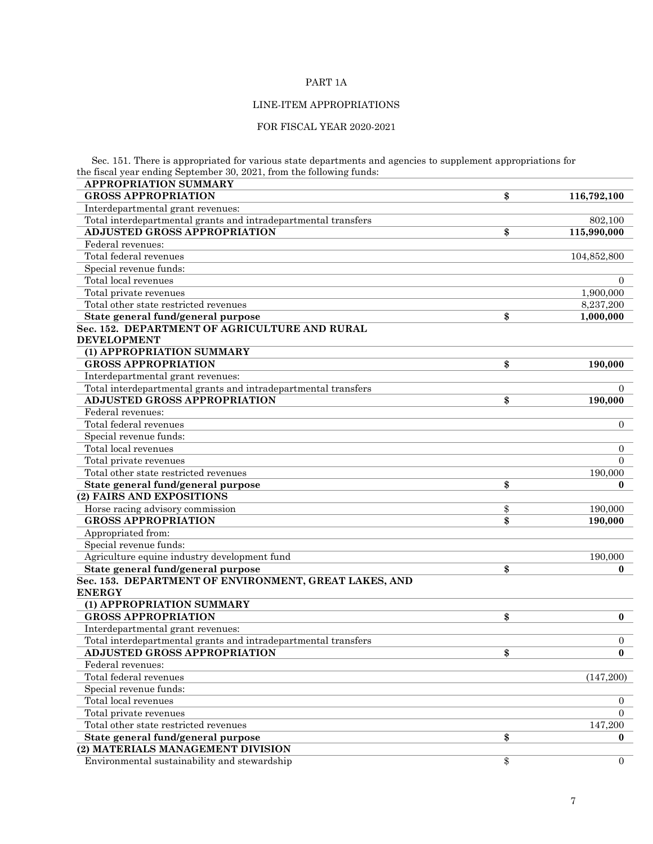# PART 1A

# LINE-ITEM APPROPRIATIONS

# FOR FISCAL YEAR 2020-2021

Sec. 151. There is appropriated for various state departments and agencies to supplement appropriations for the fiscal year ending September 30, 2021, from the following funds:

| the histal year chunig beptember ov, 2021, hom the following runus.<br><b>APPROPRIATION SUMMARY</b> |                      |
|-----------------------------------------------------------------------------------------------------|----------------------|
| <b>GROSS APPROPRIATION</b>                                                                          | \$<br>116,792,100    |
| Interdepartmental grant revenues:                                                                   |                      |
| Total interdepartmental grants and intradepartmental transfers                                      | 802,100              |
| <b>ADJUSTED GROSS APPROPRIATION</b>                                                                 | \$<br>115,990,000    |
| Federal revenues:                                                                                   |                      |
| Total federal revenues                                                                              | 104,852,800          |
| Special revenue funds:                                                                              |                      |
| Total local revenues                                                                                | $\Omega$             |
| Total private revenues                                                                              | 1,900,000            |
| Total other state restricted revenues                                                               | 8,237,200            |
| State general fund/general purpose                                                                  | \$<br>1,000,000      |
| Sec. 152. DEPARTMENT OF AGRICULTURE AND RURAL                                                       |                      |
| <b>DEVELOPMENT</b>                                                                                  |                      |
| (1) APPROPRIATION SUMMARY                                                                           |                      |
| <b>GROSS APPROPRIATION</b>                                                                          | \$<br>190,000        |
| Interdepartmental grant revenues:                                                                   |                      |
| Total interdepartmental grants and intradepartmental transfers                                      | $\theta$             |
| <b>ADJUSTED GROSS APPROPRIATION</b>                                                                 | \$<br>190,000        |
| Federal revenues:                                                                                   |                      |
| Total federal revenues                                                                              | $\overline{0}$       |
| Special revenue funds:                                                                              |                      |
| Total local revenues                                                                                | $\overline{0}$       |
| Total private revenues                                                                              | $\Omega$             |
| Total other state restricted revenues                                                               | 190,000              |
| State general fund/general purpose                                                                  | \$<br>0              |
| (2) FAIRS AND EXPOSITIONS                                                                           |                      |
| Horse racing advisory commission                                                                    | \$<br>190,000        |
| <b>GROSS APPROPRIATION</b>                                                                          | \$<br>190,000        |
| Appropriated from:                                                                                  |                      |
| Special revenue funds:                                                                              |                      |
| Agriculture equine industry development fund                                                        | 190,000              |
| State general fund/general purpose                                                                  | \$<br>0              |
| Sec. 153. DEPARTMENT OF ENVIRONMENT, GREAT LAKES, AND<br><b>ENERGY</b>                              |                      |
| (1) APPROPRIATION SUMMARY                                                                           |                      |
| <b>GROSS APPROPRIATION</b>                                                                          | \$<br>$\bf{0}$       |
| Interdepartmental grant revenues:                                                                   |                      |
| Total interdepartmental grants and intradepartmental transfers                                      | $\boldsymbol{0}$     |
| <b>ADJUSTED GROSS APPROPRIATION</b>                                                                 | \$<br>$\bf{0}$       |
| Federal revenues:                                                                                   |                      |
| Total federal revenues                                                                              | (147,200)            |
| Special revenue funds:                                                                              |                      |
| Total local revenues                                                                                | $\overline{0}$       |
| Total private revenues                                                                              | $\Omega$             |
| Total other state restricted revenues                                                               | 147,200              |
| State general fund/general purpose                                                                  | \$<br>0              |
| (2) MATERIALS MANAGEMENT DIVISION                                                                   |                      |
| Environmental sustainability and stewardship                                                        | \$<br>$\overline{0}$ |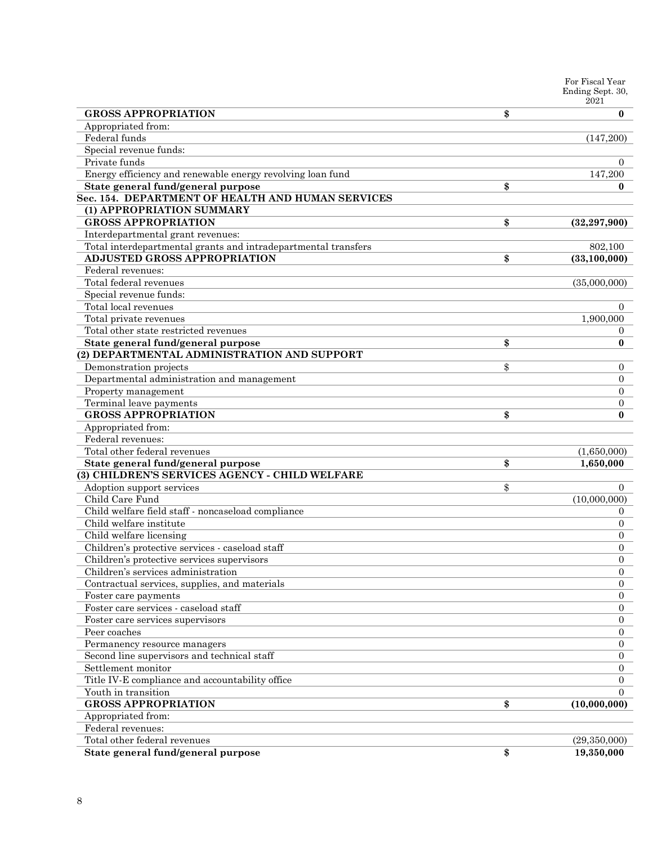|                                                                             | For Fiscal Year<br>Ending Sept. 30,<br>2021 |
|-----------------------------------------------------------------------------|---------------------------------------------|
| <b>GROSS APPROPRIATION</b>                                                  | \$<br>$\bf{0}$                              |
| Appropriated from:                                                          |                                             |
| Federal funds                                                               | (147,200)                                   |
| Special revenue funds:                                                      |                                             |
| Private funds                                                               | 0                                           |
| Energy efficiency and renewable energy revolving loan fund                  | 147,200                                     |
| State general fund/general purpose                                          | \$<br>0                                     |
| Sec. 154. DEPARTMENT OF HEALTH AND HUMAN SERVICES                           |                                             |
| (1) APPROPRIATION SUMMARY                                                   |                                             |
| <b>GROSS APPROPRIATION</b>                                                  | \$<br>(32, 297, 900)                        |
| Interdepartmental grant revenues:                                           |                                             |
| Total interdepartmental grants and intradepartmental transfers              | 802,100                                     |
| <b>ADJUSTED GROSS APPROPRIATION</b>                                         | \$<br>(33, 100, 000)                        |
| Federal revenues:                                                           |                                             |
| Total federal revenues                                                      | (35,000,000)                                |
| Special revenue funds:                                                      |                                             |
| Total local revenues                                                        | $\overline{0}$                              |
| Total private revenues                                                      | 1,900,000                                   |
| Total other state restricted revenues                                       | $\overline{0}$                              |
| State general fund/general purpose                                          | \$<br>$\bf{0}$                              |
| (2) DEPARTMENTAL ADMINISTRATION AND SUPPORT                                 |                                             |
| Demonstration projects                                                      | \$<br>0                                     |
| Departmental administration and management                                  | $\overline{0}$                              |
| Property management                                                         | 0                                           |
| Terminal leave payments                                                     | $\overline{0}$                              |
| <b>GROSS APPROPRIATION</b>                                                  | \$<br>$\bf{0}$                              |
| Appropriated from:                                                          |                                             |
| Federal revenues:                                                           |                                             |
| Total other federal revenues                                                | (1,650,000)                                 |
| State general fund/general purpose                                          | \$<br>1,650,000                             |
| (3) CHILDREN'S SERVICES AGENCY - CHILD WELFARE                              |                                             |
| Adoption support services                                                   | \$<br>$\overline{0}$                        |
| Child Care Fund                                                             | (10,000,000)                                |
| Child welfare field staff - noncaseload compliance                          | 0                                           |
| Child welfare institute                                                     | 0                                           |
| Child welfare licensing                                                     | $\overline{0}$                              |
| Children's protective services - caseload staff                             | $\overline{0}$                              |
| Children's protective services supervisors                                  | $\theta$                                    |
| Children's services administration                                          | $\overline{0}$                              |
| Contractual services, supplies, and materials                               | $\overline{0}$                              |
| Foster care payments                                                        | $\overline{0}$                              |
| Foster care services - caseload staff                                       | $\overline{0}$                              |
|                                                                             | $\overline{0}$                              |
| Foster care services supervisors<br>Peer coaches                            | $\Omega$                                    |
|                                                                             |                                             |
| Permanency resource managers<br>Second line supervisors and technical staff | $\overline{0}$<br>$\Omega$                  |
|                                                                             | $\Omega$                                    |
| Settlement monitor                                                          |                                             |
| Title IV-E compliance and accountability office                             | 0                                           |
| Youth in transition                                                         | $\Omega$                                    |
| <b>GROSS APPROPRIATION</b>                                                  | \$<br>(10,000,000)                          |
| Appropriated from:                                                          |                                             |
| Federal revenues:                                                           |                                             |
| Total other federal revenues                                                | (29,350,000)                                |
| State general fund/general purpose                                          | \$<br>19,350,000                            |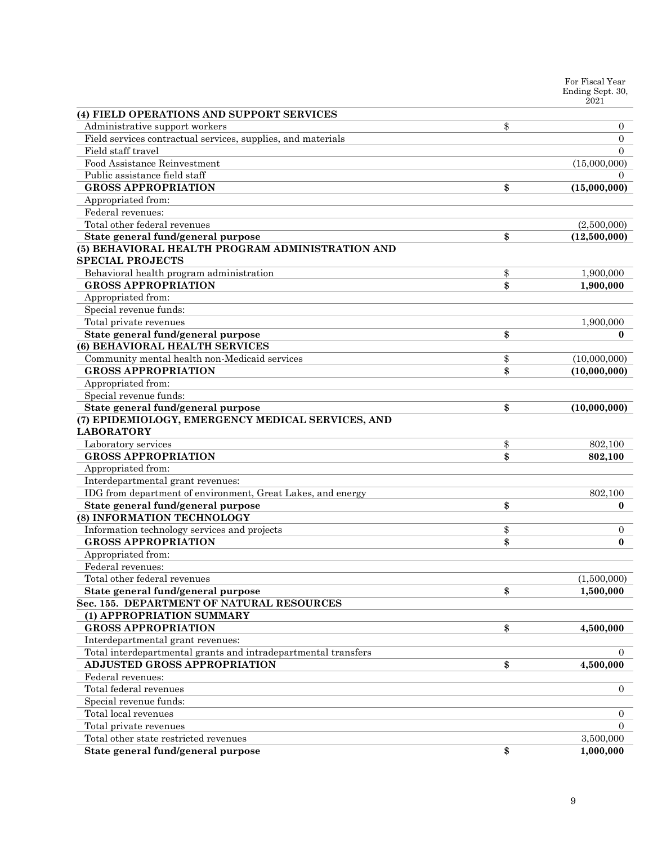|                                                                             | For Fiscal Year<br>Ending Sept. 30,<br>2021 |
|-----------------------------------------------------------------------------|---------------------------------------------|
| (4) FIELD OPERATIONS AND SUPPORT SERVICES                                   |                                             |
| Administrative support workers                                              | \$<br>0                                     |
| Field services contractual services, supplies, and materials                | $\overline{0}$                              |
| Field staff travel                                                          | $\Omega$                                    |
| Food Assistance Reinvestment                                                | (15,000,000)                                |
| Public assistance field staff                                               | 0                                           |
| <b>GROSS APPROPRIATION</b>                                                  | \$<br>(15,000,000)                          |
| Appropriated from:                                                          |                                             |
| Federal revenues:                                                           |                                             |
| Total other federal revenues                                                | (2,500,000)                                 |
| State general fund/general purpose                                          | \$<br>(12,500,000)                          |
| (5) BEHAVIORAL HEALTH PROGRAM ADMINISTRATION AND<br><b>SPECIAL PROJECTS</b> |                                             |
| Behavioral health program administration                                    | \$<br>1,900,000                             |
| <b>GROSS APPROPRIATION</b>                                                  | \$<br>1,900,000                             |
| Appropriated from:                                                          |                                             |
| Special revenue funds:                                                      |                                             |
| Total private revenues                                                      | 1,900,000                                   |
| State general fund/general purpose                                          | \$<br>0                                     |
| (6) BEHAVIORAL HEALTH SERVICES                                              |                                             |
| Community mental health non-Medicaid services                               | \$<br>(10,000,000)                          |
| <b>GROSS APPROPRIATION</b>                                                  | \$<br>(10,000,000)                          |
| Appropriated from:                                                          |                                             |
| Special revenue funds:                                                      |                                             |
| State general fund/general purpose                                          | \$<br>(10,000,000)                          |
| (7) EPIDEMIOLOGY, EMERGENCY MEDICAL SERVICES, AND<br><b>LABORATORY</b>      |                                             |
| Laboratory services                                                         | \$<br>802,100                               |
| <b>GROSS APPROPRIATION</b>                                                  | \$<br>802,100                               |
| Appropriated from:                                                          |                                             |
| Interdepartmental grant revenues:                                           |                                             |
| IDG from department of environment, Great Lakes, and energy                 | 802,100                                     |
| State general fund/general purpose                                          | \$<br>0                                     |
| (8) INFORMATION TECHNOLOGY                                                  |                                             |
| Information technology services and projects                                | \$<br>0                                     |
| <b>GROSS APPROPRIATION</b>                                                  | \$<br>$\bf{0}$                              |
| Appropriated from:                                                          |                                             |
| Federal revenues:                                                           |                                             |
| Total other federal revenues                                                | (1,500,000)                                 |
| State general fund/general purpose                                          | \$<br>1,500,000                             |
| Sec. 155. DEPARTMENT OF NATURAL RESOURCES                                   |                                             |
| (1) APPROPRIATION SUMMARY                                                   |                                             |
| <b>GROSS APPROPRIATION</b>                                                  | \$<br>4,500,000                             |
| Interdepartmental grant revenues:                                           |                                             |
| Total interdepartmental grants and intradepartmental transfers              | 0                                           |
| <b>ADJUSTED GROSS APPROPRIATION</b>                                         | \$<br>4,500,000                             |
| Federal revenues:                                                           |                                             |
| Total federal revenues                                                      | $\overline{0}$                              |
| Special revenue funds:                                                      |                                             |
| Total local revenues                                                        | $\overline{0}$                              |
| Total private revenues                                                      | $\Omega$                                    |
| Total other state restricted revenues                                       | 3,500,000                                   |
| State general fund/general purpose                                          | \$<br>1,000,000                             |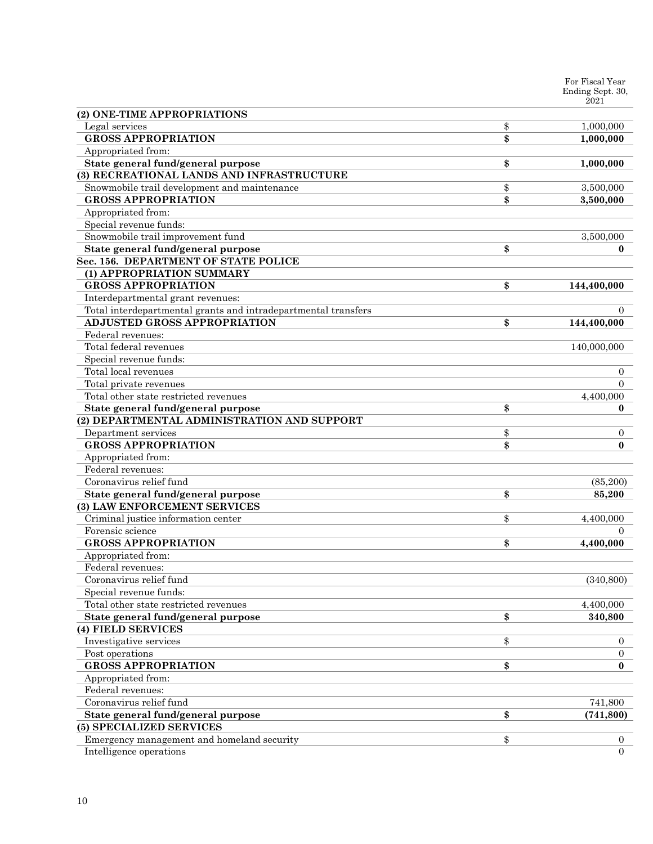|                                                                                                       | For Fiscal Year<br>Ending Sept. 30, |
|-------------------------------------------------------------------------------------------------------|-------------------------------------|
|                                                                                                       | 2021                                |
| (2) ONE-TIME APPROPRIATIONS                                                                           |                                     |
| Legal services                                                                                        | \$<br>1,000,000                     |
| <b>GROSS APPROPRIATION</b>                                                                            | \$<br>1,000,000                     |
| Appropriated from:                                                                                    |                                     |
| State general fund/general purpose                                                                    | \$<br>1,000,000                     |
| (3) RECREATIONAL LANDS AND INFRASTRUCTURE                                                             |                                     |
| Snowmobile trail development and maintenance                                                          | \$<br>3,500,000                     |
| <b>GROSS APPROPRIATION</b>                                                                            | \$<br>3,500,000                     |
| Appropriated from:                                                                                    |                                     |
| Special revenue funds:                                                                                |                                     |
| Snowmobile trail improvement fund                                                                     | 3,500,000                           |
| State general fund/general purpose                                                                    | \$<br>0                             |
| Sec. 156. DEPARTMENT OF STATE POLICE                                                                  |                                     |
| (1) APPROPRIATION SUMMARY                                                                             |                                     |
| <b>GROSS APPROPRIATION</b>                                                                            | \$<br>144,400,000                   |
| Interdepartmental grant revenues:                                                                     | 0                                   |
| Total interdepartmental grants and intradepartmental transfers<br><b>ADJUSTED GROSS APPROPRIATION</b> |                                     |
| Federal revenues:                                                                                     | \$<br>144,400,000                   |
| Total federal revenues                                                                                | 140,000,000                         |
| Special revenue funds:                                                                                |                                     |
| Total local revenues                                                                                  | 0                                   |
| Total private revenues                                                                                | $\Omega$                            |
| Total other state restricted revenues                                                                 | 4,400,000                           |
| State general fund/general purpose                                                                    | \$<br>0                             |
| (2) DEPARTMENTAL ADMINISTRATION AND SUPPORT                                                           |                                     |
| Department services                                                                                   | \$<br>0                             |
| <b>GROSS APPROPRIATION</b>                                                                            | \$<br>$\bf{0}$                      |
| Appropriated from:                                                                                    |                                     |
| Federal revenues:                                                                                     |                                     |
| Coronavirus relief fund                                                                               | (85, 200)                           |
| State general fund/general purpose                                                                    | \$<br>85,200                        |
| (3) LAW ENFORCEMENT SERVICES                                                                          |                                     |
| Criminal justice information center                                                                   | \$<br>4,400,000                     |
| Forensic science                                                                                      | 0                                   |
| <b>GROSS APPROPRIATION</b>                                                                            | \$<br>4,400,000                     |
| Appropriated from:                                                                                    |                                     |
| Federal revenues:                                                                                     |                                     |
| Coronavirus relief fund                                                                               | (340, 800)                          |
| Special revenue funds:                                                                                |                                     |
| Total other state restricted revenues                                                                 | 4,400,000                           |
| State general fund/general purpose                                                                    | \$<br>340,800                       |
| (4) FIELD SERVICES                                                                                    |                                     |
| Investigative services                                                                                | \$<br>0                             |
| Post operations                                                                                       | 0                                   |
| <b>GROSS APPROPRIATION</b>                                                                            | \$<br>$\bf{0}$                      |
| Appropriated from:                                                                                    |                                     |
| Federal revenues:                                                                                     |                                     |
| Coronavirus relief fund                                                                               | 741,800                             |
| State general fund/general purpose                                                                    | \$<br>(741, 800)                    |
| (5) SPECIALIZED SERVICES                                                                              |                                     |
| Emergency management and homeland security<br>Intelligence operations                                 | \$<br>0<br>$\Omega$                 |
|                                                                                                       |                                     |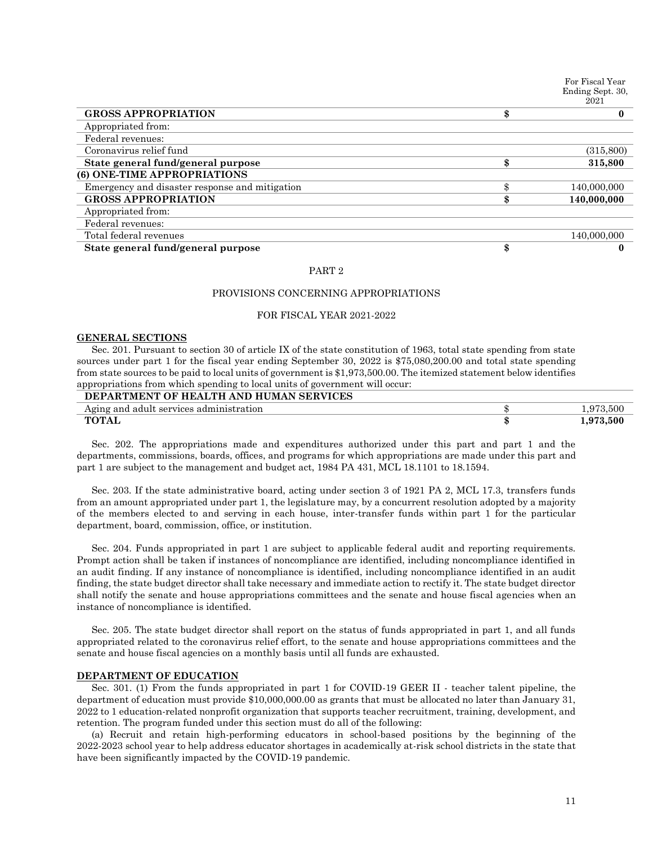|                                                | For Fiscal Year<br>Ending Sept. 30,<br>2021 |
|------------------------------------------------|---------------------------------------------|
| <b>GROSS APPROPRIATION</b>                     | \$<br>0                                     |
| Appropriated from:                             |                                             |
| Federal revenues:                              |                                             |
| Coronavirus relief fund                        | (315, 800)                                  |
| State general fund/general purpose             | \$<br>315,800                               |
| (6) ONE-TIME APPROPRIATIONS                    |                                             |
| Emergency and disaster response and mitigation | 140,000,000                                 |
| <b>GROSS APPROPRIATION</b>                     | 140,000,000                                 |
| Appropriated from:                             |                                             |
| Federal revenues:                              |                                             |
| Total federal revenues                         | 140,000,000                                 |
| State general fund/general purpose             | \$<br>0                                     |

#### PART 2

# PROVISIONS CONCERNING APPROPRIATIONS

# FOR FISCAL YEAR 2021-2022

#### **GENERAL SECTIONS**

Sec. 201. Pursuant to section 30 of article IX of the state constitution of 1963, total state spending from state sources under part 1 for the fiscal year ending September 30, 2022 is \$75,080,200.00 and total state spending from state sources to be paid to local units of government is \$1,973,500.00. The itemized statement below identifies appropriations from which spending to local units of government will occur:

# **DEPARTMENT OF HEALTH AND HUMAN SERVICES** Aging and adult services administration  $\uparrow$  1,973,500 **TOTAL \$ 1,973,500**

Sec. 202. The appropriations made and expenditures authorized under this part and part 1 and the departments, commissions, boards, offices, and programs for which appropriations are made under this part and part 1 are subject to the management and budget act, 1984 PA 431, MCL 18.1101 to 18.1594.

Sec. 203. If the state administrative board, acting under section 3 of 1921 PA 2, MCL 17.3, transfers funds from an amount appropriated under part 1, the legislature may, by a concurrent resolution adopted by a majority of the members elected to and serving in each house, inter-transfer funds within part 1 for the particular department, board, commission, office, or institution.

Sec. 204. Funds appropriated in part 1 are subject to applicable federal audit and reporting requirements. Prompt action shall be taken if instances of noncompliance are identified, including noncompliance identified in an audit finding. If any instance of noncompliance is identified, including noncompliance identified in an audit finding, the state budget director shall take necessary and immediate action to rectify it. The state budget director shall notify the senate and house appropriations committees and the senate and house fiscal agencies when an instance of noncompliance is identified.

Sec. 205. The state budget director shall report on the status of funds appropriated in part 1, and all funds appropriated related to the coronavirus relief effort, to the senate and house appropriations committees and the senate and house fiscal agencies on a monthly basis until all funds are exhausted.

# **DEPARTMENT OF EDUCATION**

Sec. 301. (1) From the funds appropriated in part 1 for COVID-19 GEER II - teacher talent pipeline, the department of education must provide \$10,000,000.00 as grants that must be allocated no later than January 31, 2022 to 1 education-related nonprofit organization that supports teacher recruitment, training, development, and retention. The program funded under this section must do all of the following:

(a) Recruit and retain high-performing educators in school-based positions by the beginning of the 2022-2023 school year to help address educator shortages in academically at-risk school districts in the state that have been significantly impacted by the COVID-19 pandemic.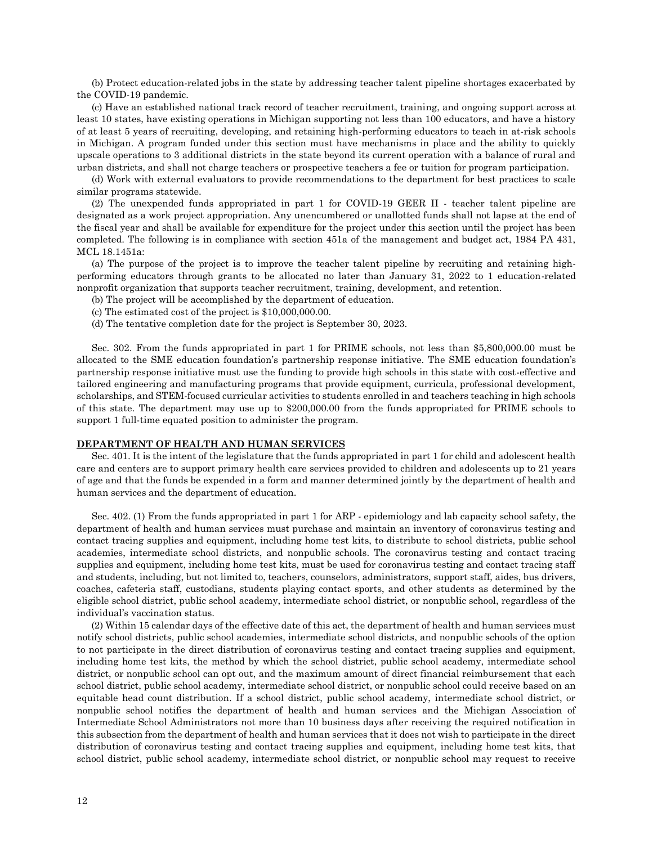(b) Protect education-related jobs in the state by addressing teacher talent pipeline shortages exacerbated by the COVID-19 pandemic.

(c) Have an established national track record of teacher recruitment, training, and ongoing support across at least 10 states, have existing operations in Michigan supporting not less than 100 educators, and have a history of at least 5 years of recruiting, developing, and retaining high-performing educators to teach in at-risk schools in Michigan. A program funded under this section must have mechanisms in place and the ability to quickly upscale operations to 3 additional districts in the state beyond its current operation with a balance of rural and urban districts, and shall not charge teachers or prospective teachers a fee or tuition for program participation.

(d) Work with external evaluators to provide recommendations to the department for best practices to scale similar programs statewide.

(2) The unexpended funds appropriated in part 1 for COVID-19 GEER II - teacher talent pipeline are designated as a work project appropriation. Any unencumbered or unallotted funds shall not lapse at the end of the fiscal year and shall be available for expenditure for the project under this section until the project has been completed. The following is in compliance with section 451a of the management and budget act, 1984 PA 431, MCL 18.1451a:

(a) The purpose of the project is to improve the teacher talent pipeline by recruiting and retaining highperforming educators through grants to be allocated no later than January 31, 2022 to 1 education-related nonprofit organization that supports teacher recruitment, training, development, and retention.

(b) The project will be accomplished by the department of education.

- (c) The estimated cost of the project is \$10,000,000.00.
- (d) The tentative completion date for the project is September 30, 2023.

Sec. 302. From the funds appropriated in part 1 for PRIME schools, not less than \$5,800,000.00 must be allocated to the SME education foundation's partnership response initiative. The SME education foundation's partnership response initiative must use the funding to provide high schools in this state with cost-effective and tailored engineering and manufacturing programs that provide equipment, curricula, professional development, scholarships, and STEM-focused curricular activities to students enrolled in and teachers teaching in high schools of this state. The department may use up to \$200,000.00 from the funds appropriated for PRIME schools to support 1 full-time equated position to administer the program.

#### **DEPARTMENT OF HEALTH AND HUMAN SERVICES**

Sec. 401. It is the intent of the legislature that the funds appropriated in part 1 for child and adolescent health care and centers are to support primary health care services provided to children and adolescents up to 21 years of age and that the funds be expended in a form and manner determined jointly by the department of health and human services and the department of education.

Sec. 402. (1) From the funds appropriated in part 1 for ARP - epidemiology and lab capacity school safety, the department of health and human services must purchase and maintain an inventory of coronavirus testing and contact tracing supplies and equipment, including home test kits, to distribute to school districts, public school academies, intermediate school districts, and nonpublic schools. The coronavirus testing and contact tracing supplies and equipment, including home test kits, must be used for coronavirus testing and contact tracing staff and students, including, but not limited to, teachers, counselors, administrators, support staff, aides, bus drivers, coaches, cafeteria staff, custodians, students playing contact sports, and other students as determined by the eligible school district, public school academy, intermediate school district, or nonpublic school, regardless of the individual's vaccination status.

(2) Within 15 calendar days of the effective date of this act, the department of health and human services must notify school districts, public school academies, intermediate school districts, and nonpublic schools of the option to not participate in the direct distribution of coronavirus testing and contact tracing supplies and equipment, including home test kits, the method by which the school district, public school academy, intermediate school district, or nonpublic school can opt out, and the maximum amount of direct financial reimbursement that each school district, public school academy, intermediate school district, or nonpublic school could receive based on an equitable head count distribution. If a school district, public school academy, intermediate school district, or nonpublic school notifies the department of health and human services and the Michigan Association of Intermediate School Administrators not more than 10 business days after receiving the required notification in this subsection from the department of health and human services that it does not wish to participate in the direct distribution of coronavirus testing and contact tracing supplies and equipment, including home test kits, that school district, public school academy, intermediate school district, or nonpublic school may request to receive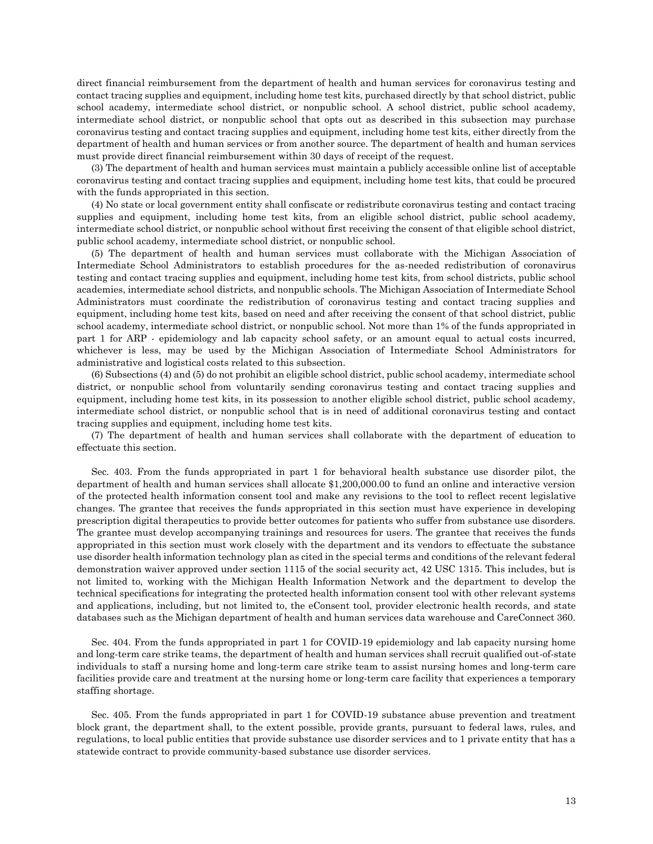direct financial reimbursement from the department of health and human services for coronavirus testing and contact tracing supplies and equipment, including home test kits, purchased directly by that school district, public school academy, intermediate school district, or nonpublic school. A school district, public school academy, intermediate school district, or nonpublic school that opts out as described in this subsection may purchase coronavirus testing and contact tracing supplies and equipment, including home test kits, either directly from the department of health and human services or from another source. The department of health and human services must provide direct financial reimbursement within 30 days of receipt of the request.

(3) The department of health and human services must maintain a publicly accessible online list of acceptable coronavirus testing and contact tracing supplies and equipment, including home test kits, that could be procured with the funds appropriated in this section.

(4) No state or local government entity shall confiscate or redistribute coronavirus testing and contact tracing supplies and equipment, including home test kits, from an eligible school district, public school academy, intermediate school district, or nonpublic school without first receiving the consent of that eligible school district, public school academy, intermediate school district, or nonpublic school.

(5) The department of health and human services must collaborate with the Michigan Association of Intermediate School Administrators to establish procedures for the as-needed redistribution of coronavirus testing and contact tracing supplies and equipment, including home test kits, from school districts, public school academies, intermediate school districts, and nonpublic schools. The Michigan Association of Intermediate School Administrators must coordinate the redistribution of coronavirus testing and contact tracing supplies and equipment, including home test kits, based on need and after receiving the consent of that school district, public school academy, intermediate school district, or nonpublic school. Not more than 1% of the funds appropriated in part 1 for ARP - epidemiology and lab capacity school safety, or an amount equal to actual costs incurred, whichever is less, may be used by the Michigan Association of Intermediate School Administrators for administrative and logistical costs related to this subsection.

(6) Subsections (4) and (5) do not prohibit an eligible school district, public school academy, intermediate school district, or nonpublic school from voluntarily sending coronavirus testing and contact tracing supplies and equipment, including home test kits, in its possession to another eligible school district, public school academy, intermediate school district, or nonpublic school that is in need of additional coronavirus testing and contact tracing supplies and equipment, including home test kits.

(7) The department of health and human services shall collaborate with the department of education to effectuate this section.

Sec. 403. From the funds appropriated in part 1 for behavioral health substance use disorder pilot, the department of health and human services shall allocate \$1,200,000.00 to fund an online and interactive version of the protected health information consent tool and make any revisions to the tool to reflect recent legislative changes. The grantee that receives the funds appropriated in this section must have experience in developing prescription digital therapeutics to provide better outcomes for patients who suffer from substance use disorders. The grantee must develop accompanying trainings and resources for users. The grantee that receives the funds appropriated in this section must work closely with the department and its vendors to effectuate the substance use disorder health information technology plan as cited in the special terms and conditions of the relevant federal demonstration waiver approved under section 1115 of the social security act, 42 USC 1315. This includes, but is not limited to, working with the Michigan Health Information Network and the department to develop the technical specifications for integrating the protected health information consent tool with other relevant systems and applications, including, but not limited to, the eConsent tool, provider electronic health records, and state databases such as the Michigan department of health and human services data warehouse and CareConnect 360.

Sec. 404. From the funds appropriated in part 1 for COVID-19 epidemiology and lab capacity nursing home and long-term care strike teams, the department of health and human services shall recruit qualified out-of-state individuals to staff a nursing home and long-term care strike team to assist nursing homes and long-term care facilities provide care and treatment at the nursing home or long-term care facility that experiences a temporary staffing shortage.

Sec. 405. From the funds appropriated in part 1 for COVID-19 substance abuse prevention and treatment block grant, the department shall, to the extent possible, provide grants, pursuant to federal laws, rules, and regulations, to local public entities that provide substance use disorder services and to 1 private entity that has a statewide contract to provide community-based substance use disorder services.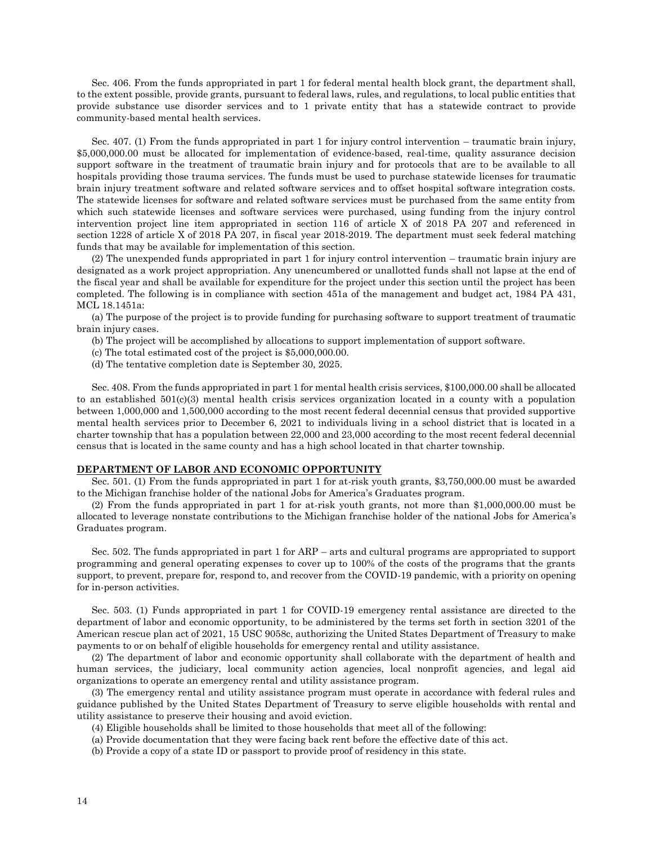Sec. 406. From the funds appropriated in part 1 for federal mental health block grant, the department shall, to the extent possible, provide grants, pursuant to federal laws, rules, and regulations, to local public entities that provide substance use disorder services and to 1 private entity that has a statewide contract to provide community-based mental health services.

Sec. 407. (1) From the funds appropriated in part 1 for injury control intervention – traumatic brain injury, \$5,000,000.00 must be allocated for implementation of evidence-based, real-time, quality assurance decision support software in the treatment of traumatic brain injury and for protocols that are to be available to all hospitals providing those trauma services. The funds must be used to purchase statewide licenses for traumatic brain injury treatment software and related software services and to offset hospital software integration costs. The statewide licenses for software and related software services must be purchased from the same entity from which such statewide licenses and software services were purchased, using funding from the injury control intervention project line item appropriated in section 116 of article X of 2018 PA 207 and referenced in section 1228 of article X of 2018 PA 207, in fiscal year 2018-2019. The department must seek federal matching funds that may be available for implementation of this section.

(2) The unexpended funds appropriated in part 1 for injury control intervention – traumatic brain injury are designated as a work project appropriation. Any unencumbered or unallotted funds shall not lapse at the end of the fiscal year and shall be available for expenditure for the project under this section until the project has been completed. The following is in compliance with section 451a of the management and budget act, 1984 PA 431, MCL 18.1451a:

(a) The purpose of the project is to provide funding for purchasing software to support treatment of traumatic brain injury cases.

- (b) The project will be accomplished by allocations to support implementation of support software.
- (c) The total estimated cost of the project is \$5,000,000.00.
- (d) The tentative completion date is September 30, 2025.

Sec. 408. From the funds appropriated in part 1 for mental health crisis services, \$100,000.00 shall be allocated to an established  $501(c)(3)$  mental health crisis services organization located in a county with a population between 1,000,000 and 1,500,000 according to the most recent federal decennial census that provided supportive mental health services prior to December 6, 2021 to individuals living in a school district that is located in a charter township that has a population between 22,000 and 23,000 according to the most recent federal decennial census that is located in the same county and has a high school located in that charter township.

#### **DEPARTMENT OF LABOR AND ECONOMIC OPPORTUNITY**

Sec. 501. (1) From the funds appropriated in part 1 for at-risk youth grants, \$3,750,000.00 must be awarded to the Michigan franchise holder of the national Jobs for America's Graduates program.

(2) From the funds appropriated in part 1 for at-risk youth grants, not more than \$1,000,000.00 must be allocated to leverage nonstate contributions to the Michigan franchise holder of the national Jobs for America's Graduates program.

Sec. 502. The funds appropriated in part 1 for ARP – arts and cultural programs are appropriated to support programming and general operating expenses to cover up to 100% of the costs of the programs that the grants support, to prevent, prepare for, respond to, and recover from the COVID-19 pandemic, with a priority on opening for in-person activities.

Sec. 503. (1) Funds appropriated in part 1 for COVID-19 emergency rental assistance are directed to the department of labor and economic opportunity, to be administered by the terms set forth in section 3201 of the American rescue plan act of 2021, 15 USC 9058c, authorizing the United States Department of Treasury to make payments to or on behalf of eligible households for emergency rental and utility assistance.

(2) The department of labor and economic opportunity shall collaborate with the department of health and human services, the judiciary, local community action agencies, local nonprofit agencies, and legal aid organizations to operate an emergency rental and utility assistance program.

(3) The emergency rental and utility assistance program must operate in accordance with federal rules and guidance published by the United States Department of Treasury to serve eligible households with rental and utility assistance to preserve their housing and avoid eviction.

- (4) Eligible households shall be limited to those households that meet all of the following:
- (a) Provide documentation that they were facing back rent before the effective date of this act.
- (b) Provide a copy of a state ID or passport to provide proof of residency in this state.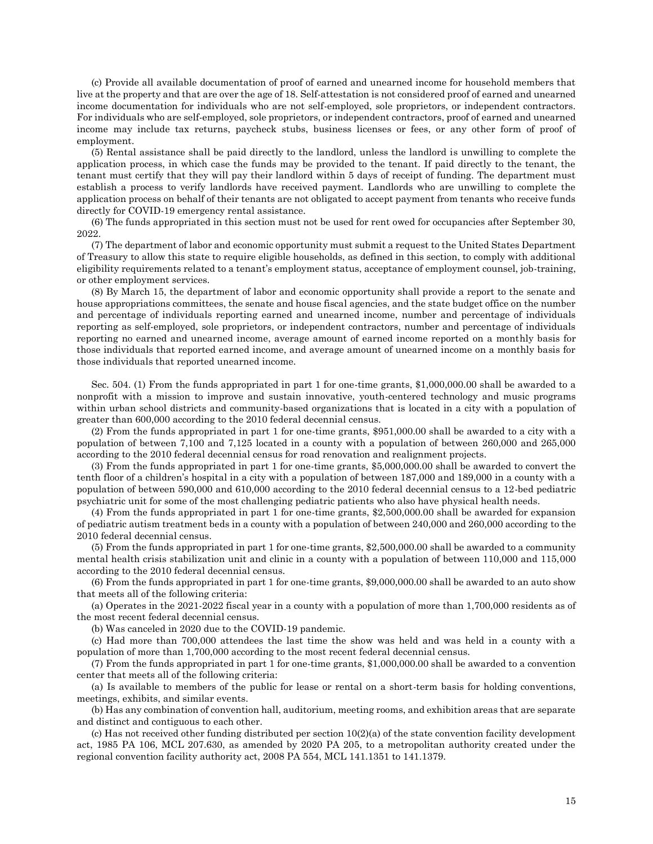(c) Provide all available documentation of proof of earned and unearned income for household members that live at the property and that are over the age of 18. Self-attestation is not considered proof of earned and unearned income documentation for individuals who are not self-employed, sole proprietors, or independent contractors. For individuals who are self-employed, sole proprietors, or independent contractors, proof of earned and unearned income may include tax returns, paycheck stubs, business licenses or fees, or any other form of proof of employment.

(5) Rental assistance shall be paid directly to the landlord, unless the landlord is unwilling to complete the application process, in which case the funds may be provided to the tenant. If paid directly to the tenant, the tenant must certify that they will pay their landlord within 5 days of receipt of funding. The department must establish a process to verify landlords have received payment. Landlords who are unwilling to complete the application process on behalf of their tenants are not obligated to accept payment from tenants who receive funds directly for COVID-19 emergency rental assistance.

(6) The funds appropriated in this section must not be used for rent owed for occupancies after September 30, 2022.

(7) The department of labor and economic opportunity must submit a request to the United States Department of Treasury to allow this state to require eligible households, as defined in this section, to comply with additional eligibility requirements related to a tenant's employment status, acceptance of employment counsel, job-training, or other employment services.

(8) By March 15, the department of labor and economic opportunity shall provide a report to the senate and house appropriations committees, the senate and house fiscal agencies, and the state budget office on the number and percentage of individuals reporting earned and unearned income, number and percentage of individuals reporting as self-employed, sole proprietors, or independent contractors, number and percentage of individuals reporting no earned and unearned income, average amount of earned income reported on a monthly basis for those individuals that reported earned income, and average amount of unearned income on a monthly basis for those individuals that reported unearned income.

Sec. 504. (1) From the funds appropriated in part 1 for one-time grants, \$1,000,000.00 shall be awarded to a nonprofit with a mission to improve and sustain innovative, youth-centered technology and music programs within urban school districts and community-based organizations that is located in a city with a population of greater than 600,000 according to the 2010 federal decennial census.

(2) From the funds appropriated in part 1 for one-time grants, \$951,000.00 shall be awarded to a city with a population of between 7,100 and 7,125 located in a county with a population of between 260,000 and 265,000 according to the 2010 federal decennial census for road renovation and realignment projects.

(3) From the funds appropriated in part 1 for one-time grants, \$5,000,000.00 shall be awarded to convert the tenth floor of a children's hospital in a city with a population of between 187,000 and 189,000 in a county with a population of between 590,000 and 610,000 according to the 2010 federal decennial census to a 12-bed pediatric psychiatric unit for some of the most challenging pediatric patients who also have physical health needs.

(4) From the funds appropriated in part 1 for one-time grants, \$2,500,000.00 shall be awarded for expansion of pediatric autism treatment beds in a county with a population of between 240,000 and 260,000 according to the 2010 federal decennial census.

(5) From the funds appropriated in part 1 for one-time grants, \$2,500,000.00 shall be awarded to a community mental health crisis stabilization unit and clinic in a county with a population of between 110,000 and 115,000 according to the 2010 federal decennial census.

(6) From the funds appropriated in part 1 for one-time grants, \$9,000,000.00 shall be awarded to an auto show that meets all of the following criteria:

(a) Operates in the 2021-2022 fiscal year in a county with a population of more than 1,700,000 residents as of the most recent federal decennial census.

(b) Was canceled in 2020 due to the COVID-19 pandemic.

(c) Had more than 700,000 attendees the last time the show was held and was held in a county with a population of more than 1,700,000 according to the most recent federal decennial census.

(7) From the funds appropriated in part 1 for one-time grants, \$1,000,000.00 shall be awarded to a convention center that meets all of the following criteria:

(a) Is available to members of the public for lease or rental on a short-term basis for holding conventions, meetings, exhibits, and similar events.

(b) Has any combination of convention hall, auditorium, meeting rooms, and exhibition areas that are separate and distinct and contiguous to each other.

(c) Has not received other funding distributed per section 10(2)(a) of the state convention facility development act, 1985 PA 106, MCL 207.630, as amended by 2020 PA 205, to a metropolitan authority created under the regional convention facility authority act, 2008 PA 554, MCL 141.1351 to 141.1379.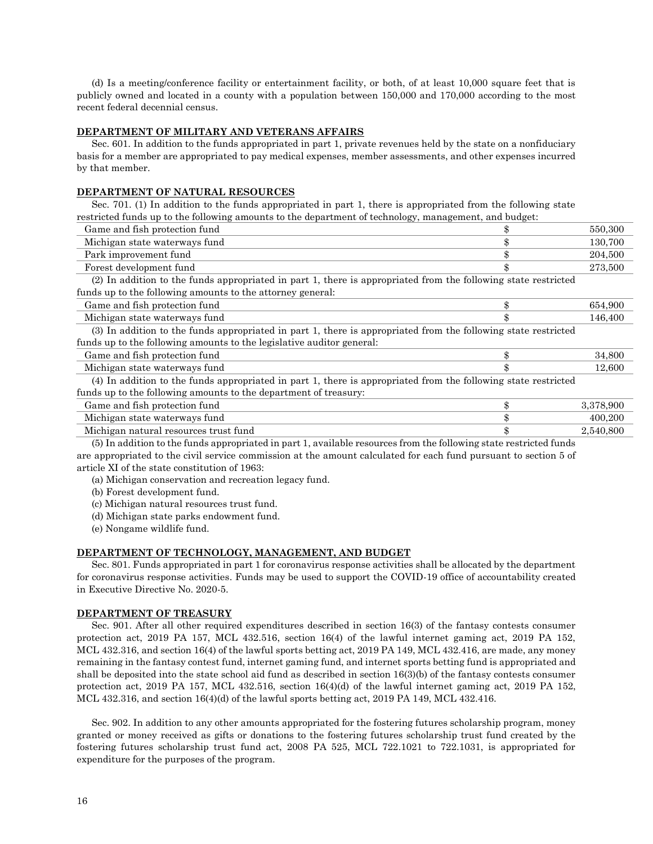(d) Is a meeting/conference facility or entertainment facility, or both, of at least 10,000 square feet that is publicly owned and located in a county with a population between 150,000 and 170,000 according to the most recent federal decennial census.

#### **DEPARTMENT OF MILITARY AND VETERANS AFFAIRS**

Sec. 601. In addition to the funds appropriated in part 1, private revenues held by the state on a nonfiduciary basis for a member are appropriated to pay medical expenses, member assessments, and other expenses incurred by that member.

# **DEPARTMENT OF NATURAL RESOURCES**

Sec. 701. (1) In addition to the funds appropriated in part 1, there is appropriated from the following state restricted funds up to the following amounts to the department of technology, management, and budget:

| Game and fish protection fund                                                                                  | 550,300         |
|----------------------------------------------------------------------------------------------------------------|-----------------|
| Michigan state waterways fund                                                                                  | 130,700         |
| Park improvement fund                                                                                          | 204,500         |
| Forest development fund                                                                                        | 273,500         |
| (2) In addition to the funds appropriated in part 1, there is appropriated from the following state restricted |                 |
| funds up to the following amounts to the attorney general:                                                     |                 |
| Game and fish protection fund                                                                                  | 654.900         |
| Michigan state waterways fund                                                                                  | 146,400         |
| (3) In addition to the funds appropriated in part 1, there is appropriated from the following state restricted |                 |
| funds up to the following amounts to the legislative auditor general:                                          |                 |
| Game and fish protection fund                                                                                  | 34,800          |
| Michigan state waterways fund                                                                                  | 12,600          |
| (4) In addition to the funds appropriated in part 1, there is appropriated from the following state restricted |                 |
| funds up to the following amounts to the department of treasury:                                               |                 |
| Game and fish protection fund                                                                                  | 3,378,900       |
| Michigan state waterways fund                                                                                  | 400,200         |
| Michigan natural resources trust fund                                                                          | \$<br>2,540,800 |
|                                                                                                                |                 |

(5) In addition to the funds appropriated in part 1, available resources from the following state restricted funds are appropriated to the civil service commission at the amount calculated for each fund pursuant to section 5 of article XI of the state constitution of 1963:

(a) Michigan conservation and recreation legacy fund.

(b) Forest development fund.

(c) Michigan natural resources trust fund.

(d) Michigan state parks endowment fund.

(e) Nongame wildlife fund.

### **DEPARTMENT OF TECHNOLOGY, MANAGEMENT, AND BUDGET**

Sec. 801. Funds appropriated in part 1 for coronavirus response activities shall be allocated by the department for coronavirus response activities. Funds may be used to support the COVID-19 office of accountability created in Executive Directive No. 2020-5.

## **DEPARTMENT OF TREASURY**

Sec. 901. After all other required expenditures described in section 16(3) of the fantasy contests consumer protection act, 2019 PA 157, MCL 432.516, section 16(4) of the lawful internet gaming act, 2019 PA 152, MCL 432.316, and section 16(4) of the lawful sports betting act, 2019 PA 149, MCL 432.416, are made, any money remaining in the fantasy contest fund, internet gaming fund, and internet sports betting fund is appropriated and shall be deposited into the state school aid fund as described in section 16(3)(b) of the fantasy contests consumer protection act, 2019 PA 157, MCL 432.516, section 16(4)(d) of the lawful internet gaming act, 2019 PA 152, MCL 432.316, and section 16(4)(d) of the lawful sports betting act, 2019 PA 149, MCL 432.416.

Sec. 902. In addition to any other amounts appropriated for the fostering futures scholarship program, money granted or money received as gifts or donations to the fostering futures scholarship trust fund created by the fostering futures scholarship trust fund act, 2008 PA 525, MCL 722.1021 to 722.1031, is appropriated for expenditure for the purposes of the program.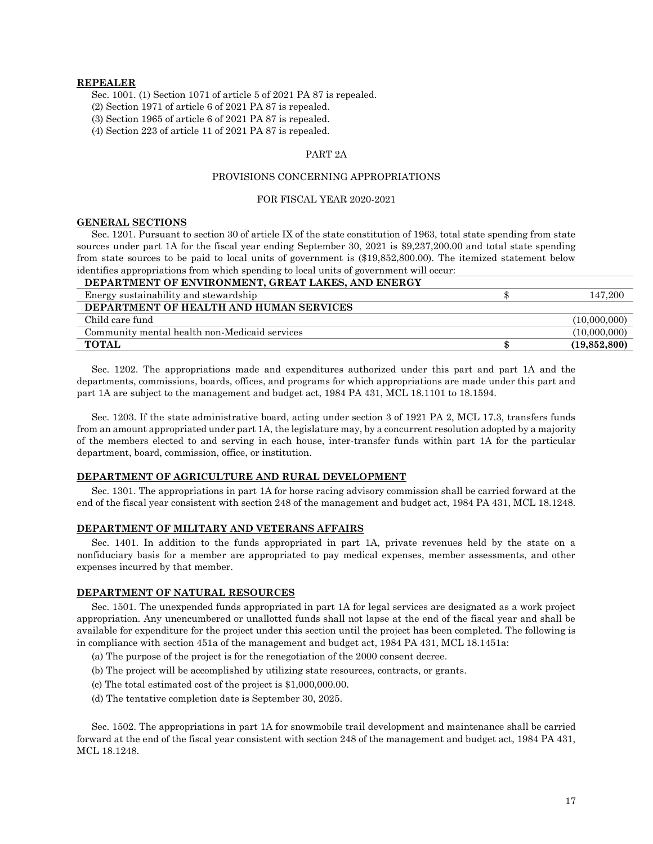## **REPEALER**

Sec. 1001. (1) Section 1071 of article 5 of 2021 PA 87 is repealed.

(2) Section 1971 of article 6 of 2021 PA 87 is repealed.

(3) Section 1965 of article 6 of 2021 PA 87 is repealed.

(4) Section 223 of article 11 of 2021 PA 87 is repealed.

#### PART 2A

## PROVISIONS CONCERNING APPROPRIATIONS

#### FOR FISCAL YEAR 2020-2021

## **GENERAL SECTIONS**

Sec. 1201. Pursuant to section 30 of article IX of the state constitution of 1963, total state spending from state sources under part 1A for the fiscal year ending September 30, 2021 is \$9,237,200.00 and total state spending from state sources to be paid to local units of government is (\$19,852,800.00). The itemized statement below identifies appropriations from which spending to local units of government will occur:

| DEPARTMENT OF ENVIRONMENT, GREAT LAKES, AND ENERGY |              |
|----------------------------------------------------|--------------|
| Energy sustainability and stewardship              | 147,200      |
| DEPARTMENT OF HEALTH AND HUMAN SERVICES            |              |
| Child care fund                                    | (10,000,000) |
| Community mental health non-Medicaid services      | (10,000,000) |
| <b>TOTAL</b>                                       | (19,852,800) |

Sec. 1202. The appropriations made and expenditures authorized under this part and part 1A and the departments, commissions, boards, offices, and programs for which appropriations are made under this part and part 1A are subject to the management and budget act, 1984 PA 431, MCL 18.1101 to 18.1594.

Sec. 1203. If the state administrative board, acting under section 3 of 1921 PA 2, MCL 17.3, transfers funds from an amount appropriated under part 1A, the legislature may, by a concurrent resolution adopted by a majority of the members elected to and serving in each house, inter-transfer funds within part 1A for the particular department, board, commission, office, or institution.

#### **DEPARTMENT OF AGRICULTURE AND RURAL DEVELOPMENT**

Sec. 1301. The appropriations in part 1A for horse racing advisory commission shall be carried forward at the end of the fiscal year consistent with section 248 of the management and budget act, 1984 PA 431, MCL 18.1248.

#### **DEPARTMENT OF MILITARY AND VETERANS AFFAIRS**

Sec. 1401. In addition to the funds appropriated in part 1A, private revenues held by the state on a nonfiduciary basis for a member are appropriated to pay medical expenses, member assessments, and other expenses incurred by that member.

#### **DEPARTMENT OF NATURAL RESOURCES**

Sec. 1501. The unexpended funds appropriated in part 1A for legal services are designated as a work project appropriation. Any unencumbered or unallotted funds shall not lapse at the end of the fiscal year and shall be available for expenditure for the project under this section until the project has been completed. The following is in compliance with section 451a of the management and budget act, 1984 PA 431, MCL 18.1451a:

- (a) The purpose of the project is for the renegotiation of the 2000 consent decree.
- (b) The project will be accomplished by utilizing state resources, contracts, or grants.
- (c) The total estimated cost of the project is \$1,000,000.00.
- (d) The tentative completion date is September 30, 2025.

Sec. 1502. The appropriations in part 1A for snowmobile trail development and maintenance shall be carried forward at the end of the fiscal year consistent with section 248 of the management and budget act, 1984 PA 431, MCL 18.1248.